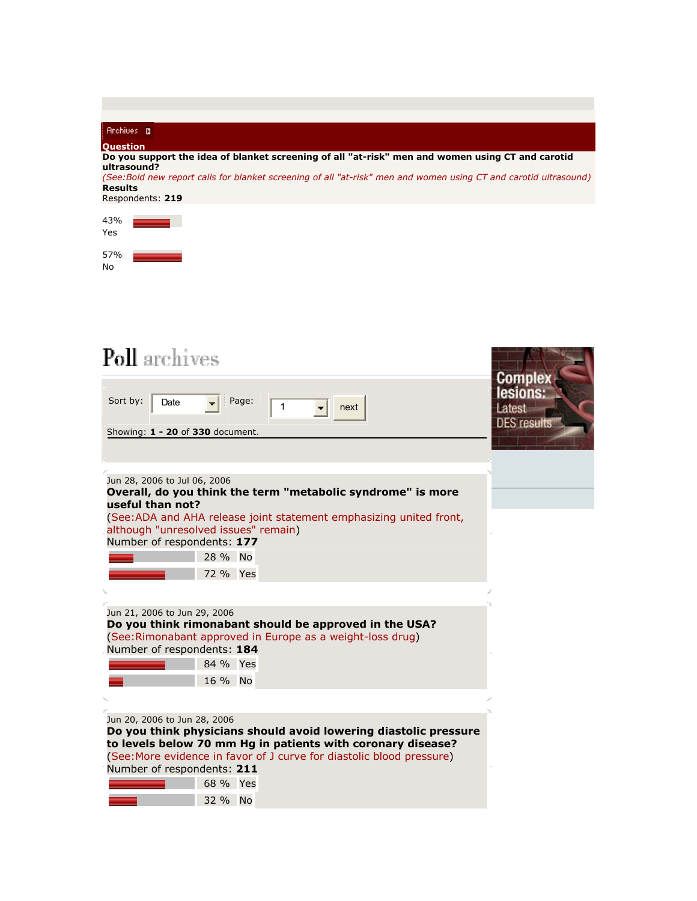| <b>Archives D</b>                                                                                                                   |                    |
|-------------------------------------------------------------------------------------------------------------------------------------|--------------------|
| <b>Question</b>                                                                                                                     |                    |
| Do you support the idea of blanket screening of all "at-risk" men and women using CT and carotid<br>ultrasound?                     |                    |
| (See: Bold new report calls for blanket screening of all "at-risk" men and women using CT and carotid ultrasound)<br><b>Results</b> |                    |
| Respondents: 219                                                                                                                    |                    |
| 43%                                                                                                                                 |                    |
| Yes                                                                                                                                 |                    |
| 57%<br>No                                                                                                                           |                    |
|                                                                                                                                     |                    |
|                                                                                                                                     |                    |
|                                                                                                                                     |                    |
|                                                                                                                                     |                    |
| <b>Poll</b> archives                                                                                                                |                    |
|                                                                                                                                     |                    |
|                                                                                                                                     | lesions            |
| Page:<br>Sort by:<br>Date<br>1<br>next                                                                                              | Latest             |
| Showing: $1 - 20$ of 330 document.                                                                                                  | <b>DES</b> results |
|                                                                                                                                     |                    |
|                                                                                                                                     |                    |
| Jun 28, 2006 to Jul 06, 2006                                                                                                        |                    |
| Overall, do you think the term "metabolic syndrome" is more<br>useful than not?                                                     |                    |
| (See:ADA and AHA release joint statement emphasizing united front,                                                                  |                    |
| although "unresolved issues" remain)                                                                                                |                    |
| Number of respondents: 177                                                                                                          |                    |
| 28 % No                                                                                                                             |                    |
| 72 % Yes                                                                                                                            |                    |
|                                                                                                                                     |                    |
| Jun 21, 2006 to Jun 29, 2006<br>Do you think rimonabant should be approved in the USA?                                              |                    |
| (See:Rimonabant approved in Europe as a weight-loss drug)                                                                           |                    |
| Number of respondents: 184                                                                                                          |                    |
| 84 % Yes                                                                                                                            |                    |
| 16 % No                                                                                                                             |                    |
|                                                                                                                                     |                    |
| Jun 20, 2006 to Jun 28, 2006                                                                                                        |                    |
| Do you think physicians should avoid lowering diastolic pressure<br>to levels below 70 mm Hg in patients with coronary disease?     |                    |
| (See: More evidence in favor of J curve for diastolic blood pressure)                                                               |                    |
| Number of respondents: 211                                                                                                          |                    |
| 68 % Yes                                                                                                                            |                    |
| 32 % No                                                                                                                             |                    |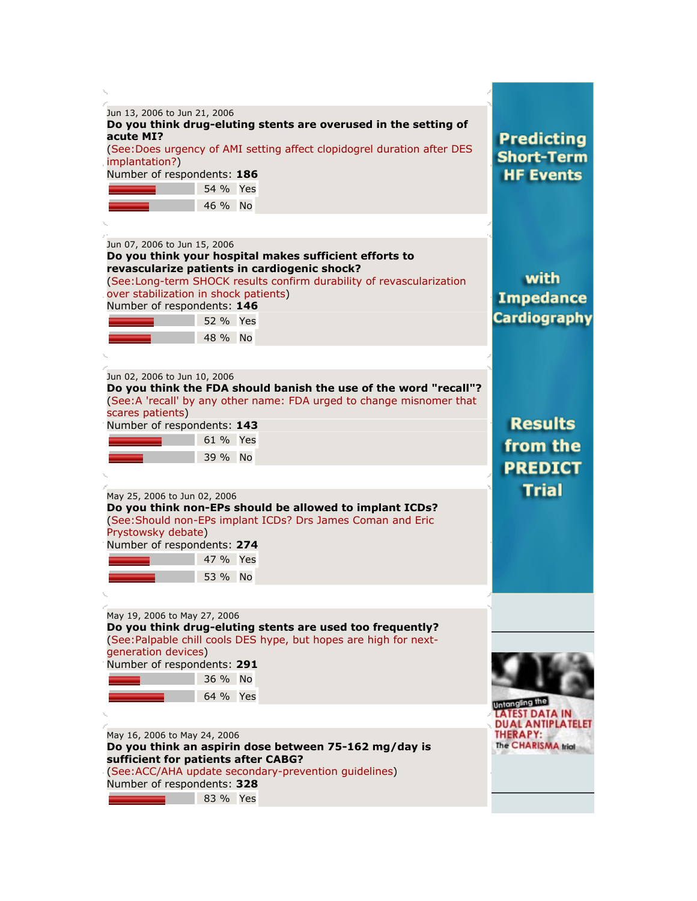| Jun 13, 2006 to Jun 21, 2006<br>Do you think drug-eluting stents are overused in the setting of<br>acute MI?<br>(See:Does urgency of AMI setting affect clopidogrel duration after DES<br>implantation?)<br>Number of respondents: 186<br>54 % Yes<br>46 % No                                                                                                                                                                                                                          | <b>Predicting</b><br><b>Short-Term</b><br><b>HF Events</b>                                   |
|----------------------------------------------------------------------------------------------------------------------------------------------------------------------------------------------------------------------------------------------------------------------------------------------------------------------------------------------------------------------------------------------------------------------------------------------------------------------------------------|----------------------------------------------------------------------------------------------|
| Jun 07, 2006 to Jun 15, 2006<br>Do you think your hospital makes sufficient efforts to<br>revascularize patients in cardiogenic shock?<br>(See:Long-term SHOCK results confirm durability of revascularization<br>over stabilization in shock patients)<br>Number of respondents: 146<br>52 % Yes<br>48 % No                                                                                                                                                                           | with<br><b>Impedance</b><br><b>Cardiography</b>                                              |
| Jun 02, 2006 to Jun 10, 2006<br>Do you think the FDA should banish the use of the word "recall"?<br>(See:A 'recall' by any other name: FDA urged to change misnomer that<br>scares patients)<br>Number of respondents: 143<br>61 % Yes<br>39 % No<br>May 25, 2006 to Jun 02, 2006<br>Do you think non-EPs should be allowed to implant ICDs?<br>(See: Should non-EPs implant ICDs? Drs James Coman and Eric<br>Prystowsky debate)<br>Number of respondents: 274<br>47 % Yes<br>53 % No | <b>Results</b><br>from the<br><b>PREDICT</b><br><b>Trial</b>                                 |
| May 19, 2006 to May 27, 2006<br>Do you think drug-eluting stents are used too frequently?<br>(See:Palpable chill cools DES hype, but hopes are high for next-<br>generation devices)<br>Number of respondents: 291<br>36 % No<br>64 % Yes<br>May 16, 2006 to May 24, 2006<br>Do you think an aspirin dose between 75-162 mg/day is<br>sufficient for patients after CABG?<br>(See:ACC/AHA update secondary-prevention guidelines)<br>Number of respondents: 328<br>83 % Yes            | Untangling the<br>TEST DATA IN<br><b>DUAL ANTIPLATELET</b><br>THERAPY:<br>The CHARISMA trial |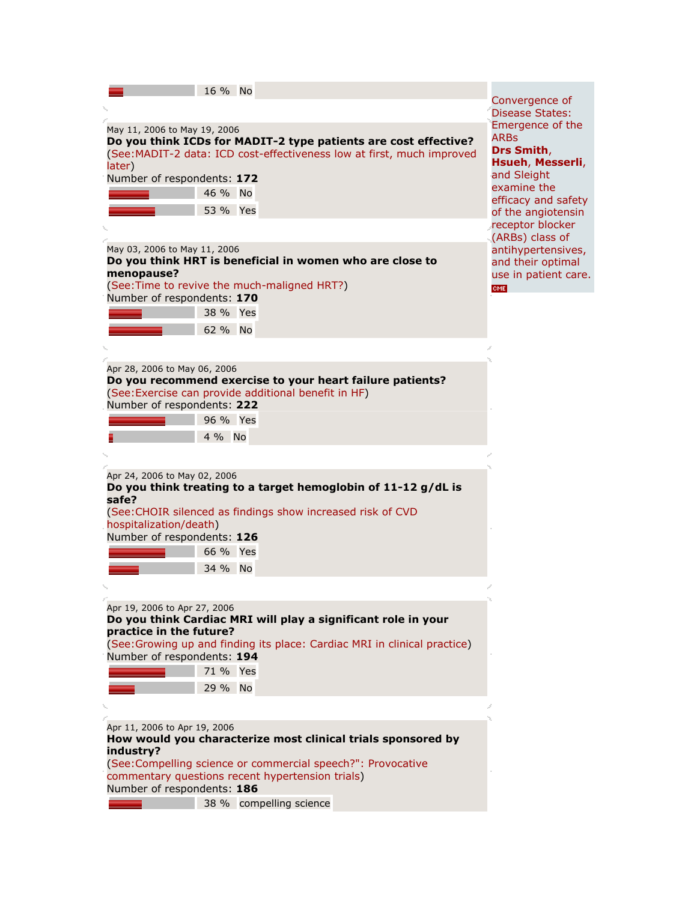|                              | 16 % No  |                                                                           |                                        |
|------------------------------|----------|---------------------------------------------------------------------------|----------------------------------------|
|                              |          |                                                                           | Convergence of                         |
|                              |          |                                                                           | <b>Disease States:</b>                 |
| May 11, 2006 to May 19, 2006 |          |                                                                           | Emergence of the<br><b>ARBs</b>        |
|                              |          | Do you think ICDs for MADIT-2 type patients are cost effective?           | Drs Smith,                             |
| later)                       |          | (See: MADIT-2 data: ICD cost-effectiveness low at first, much improved    | Hsueh, Messerli,                       |
| Number of respondents: 172   |          |                                                                           | and Sleight                            |
|                              | 46 % No  |                                                                           | examine the                            |
|                              | 53 % Yes |                                                                           | efficacy and safety                    |
|                              |          |                                                                           | of the angiotensin<br>receptor blocker |
|                              |          |                                                                           | (ARBs) class of                        |
| May 03, 2006 to May 11, 2006 |          |                                                                           | antihypertensives,                     |
|                              |          | Do you think HRT is beneficial in women who are close to                  | and their optimal                      |
| menopause?                   |          |                                                                           | use in patient care.                   |
| Number of respondents: 170   |          | (See: Time to revive the much-maligned HRT?)                              | <b>CME</b>                             |
|                              | 38 % Yes |                                                                           |                                        |
|                              |          |                                                                           |                                        |
|                              | 62 % No  |                                                                           |                                        |
|                              |          |                                                                           |                                        |
| Apr 28, 2006 to May 06, 2006 |          |                                                                           |                                        |
|                              |          | Do you recommend exercise to your heart failure patients?                 |                                        |
|                              |          | (See: Exercise can provide additional benefit in HF)                      |                                        |
| Number of respondents: 222   |          |                                                                           |                                        |
|                              | 96 % Yes |                                                                           |                                        |
|                              | 4 % No   |                                                                           |                                        |
|                              |          |                                                                           |                                        |
|                              |          |                                                                           |                                        |
| Apr 24, 2006 to May 02, 2006 |          | Do you think treating to a target hemoglobin of 11-12 g/dL is             |                                        |
| safe?                        |          |                                                                           |                                        |
|                              |          | (See: CHOIR silenced as findings show increased risk of CVD               |                                        |
| hospitalization/death)       |          |                                                                           |                                        |
| Number of respondents: 126   |          |                                                                           |                                        |
|                              | 66 % Yes |                                                                           |                                        |
|                              | 34 % No  |                                                                           |                                        |
|                              |          |                                                                           |                                        |
|                              |          |                                                                           |                                        |
| Apr 19, 2006 to Apr 27, 2006 |          | Do you think Cardiac MRI will play a significant role in your             |                                        |
| practice in the future?      |          |                                                                           |                                        |
|                              |          | (See: Growing up and finding its place: Cardiac MRI in clinical practice) |                                        |
| Number of respondents: 194   |          |                                                                           |                                        |
|                              | 71 % Yes |                                                                           |                                        |
|                              | 29 % No  |                                                                           |                                        |
|                              |          |                                                                           |                                        |
|                              |          |                                                                           |                                        |
| Apr 11, 2006 to Apr 19, 2006 |          |                                                                           |                                        |
| industry?                    |          | How would you characterize most clinical trials sponsored by              |                                        |
|                              |          | (See:Compelling science or commercial speech?": Provocative               |                                        |
|                              |          | commentary questions recent hypertension trials)                          |                                        |
| Number of respondents: 186   |          |                                                                           |                                        |
|                              |          | 38 % compelling science                                                   |                                        |
|                              |          |                                                                           |                                        |